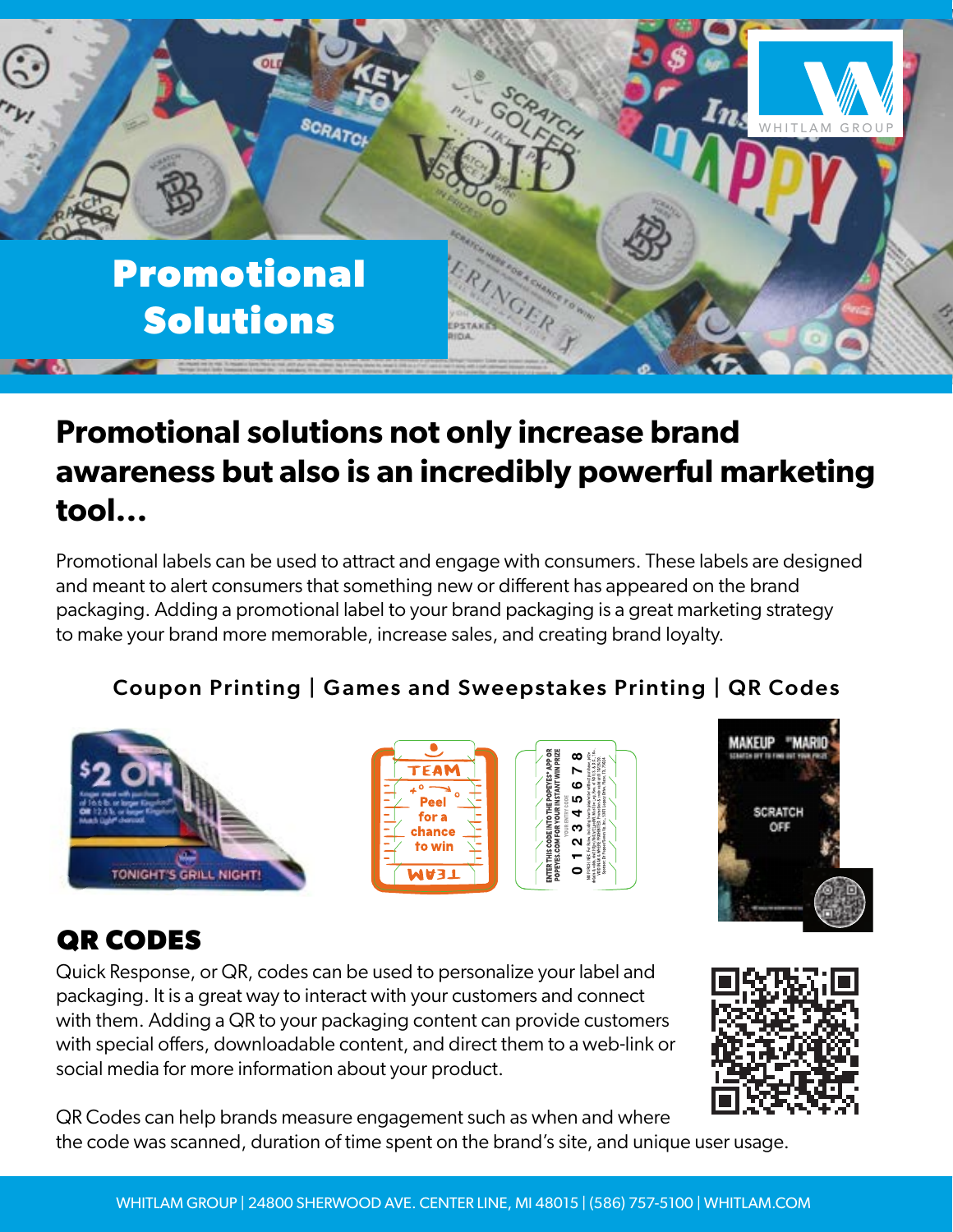

# **Promotional solutions not only increase brand awareness but also is an incredibly powerful marketing tool...**

Promotional labels can be used to attract and engage with consumers. These labels are designed and meant to alert consumers that something new or different has appeared on the brand packaging. Adding a promotional label to your brand packaging is a great marketing strategy to make your brand more memorable, increase sales, and creating brand loyalty. 76.2 mm

#### Coupon Printing | Games and Sweepstakes Printing | QR Codes





## **QR CODES**

Quick Response, or QR, codes can be used to personalize your label and packaging. It is a great way to interact with your customers and connect with them. Adding a QR to your packaging content can provide customers with special offers, downloadable content, and direct them to a web-link or social media for more information about your product.



QR Codes can help brands measure engagement such as when and where the code was scanned, duration of time spent on the brand's site, and unique user usage.